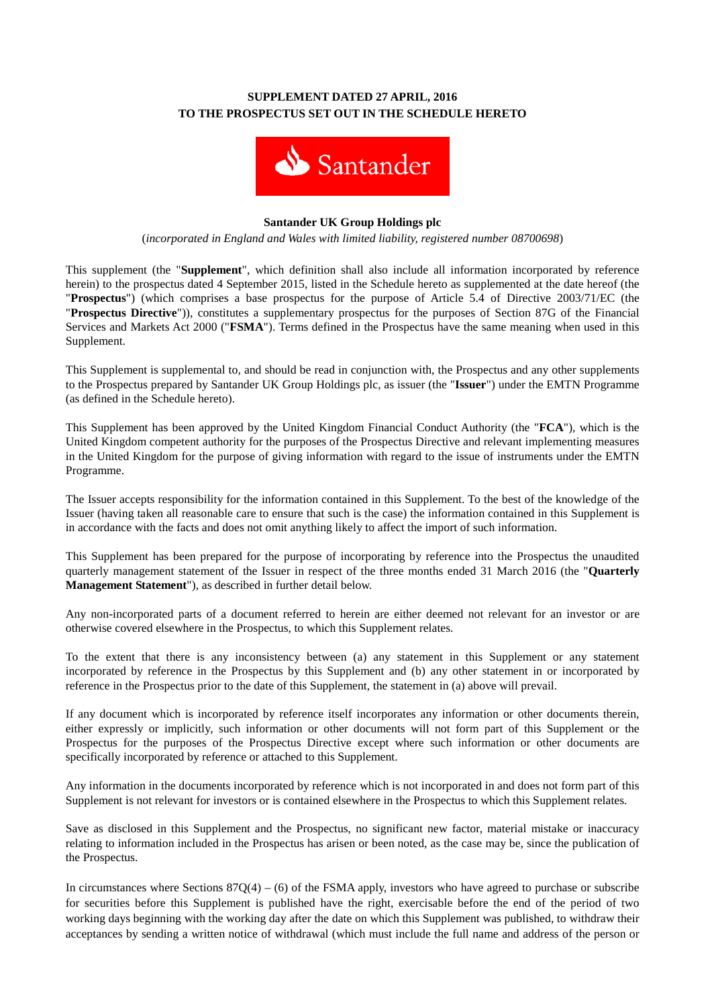# **SUPPLEMENT DATED 27 APRIL, 2016 TO THE PROSPECTUS SET OUT IN THE SCHEDULE HERETO**



### **Santander UK Group Holdings plc**

(*incorporated in England and Wales with limited liability, registered number 08700698*)

This supplement (the "**Supplement**", which definition shall also include all information incorporated by reference herein) to the prospectus dated 4 September 2015, listed in the Schedule hereto as supplemented at the date hereof (the "**Prospectus**") (which comprises a base prospectus for the purpose of Article 5.4 of Directive 2003/71/EC (the "**Prospectus Directive**")), constitutes a supplementary prospectus for the purposes of Section 87G of the Financial Services and Markets Act 2000 ("**FSMA**"). Terms defined in the Prospectus have the same meaning when used in this Supplement.

This Supplement is supplemental to, and should be read in conjunction with, the Prospectus and any other supplements to the Prospectus prepared by Santander UK Group Holdings plc, as issuer (the "**Issuer**") under the EMTN Programme (as defined in the Schedule hereto).

This Supplement has been approved by the United Kingdom Financial Conduct Authority (the "**FCA**"), which is the United Kingdom competent authority for the purposes of the Prospectus Directive and relevant implementing measures in the United Kingdom for the purpose of giving information with regard to the issue of instruments under the EMTN Programme.

The Issuer accepts responsibility for the information contained in this Supplement. To the best of the knowledge of the Issuer (having taken all reasonable care to ensure that such is the case) the information contained in this Supplement is in accordance with the facts and does not omit anything likely to affect the import of such information.

This Supplement has been prepared for the purpose of incorporating by reference into the Prospectus the unaudited quarterly management statement of the Issuer in respect of the three months ended 31 March 2016 (the "**Quarterly Management Statement**"), as described in further detail below.

Any non-incorporated parts of a document referred to herein are either deemed not relevant for an investor or are otherwise covered elsewhere in the Prospectus, to which this Supplement relates.

To the extent that there is any inconsistency between (a) any statement in this Supplement or any statement incorporated by reference in the Prospectus by this Supplement and (b) any other statement in or incorporated by reference in the Prospectus prior to the date of this Supplement, the statement in (a) above will prevail.

If any document which is incorporated by reference itself incorporates any information or other documents therein, either expressly or implicitly, such information or other documents will not form part of this Supplement or the Prospectus for the purposes of the Prospectus Directive except where such information or other documents are specifically incorporated by reference or attached to this Supplement.

Any information in the documents incorporated by reference which is not incorporated in and does not form part of this Supplement is not relevant for investors or is contained elsewhere in the Prospectus to which this Supplement relates.

Save as disclosed in this Supplement and the Prospectus, no significant new factor, material mistake or inaccuracy relating to information included in the Prospectus has arisen or been noted, as the case may be, since the publication of the Prospectus.

In circumstances where Sections  $87Q(4) - (6)$  of the FSMA apply, investors who have agreed to purchase or subscribe for securities before this Supplement is published have the right, exercisable before the end of the period of two working days beginning with the working day after the date on which this Supplement was published, to withdraw their acceptances by sending a written notice of withdrawal (which must include the full name and address of the person or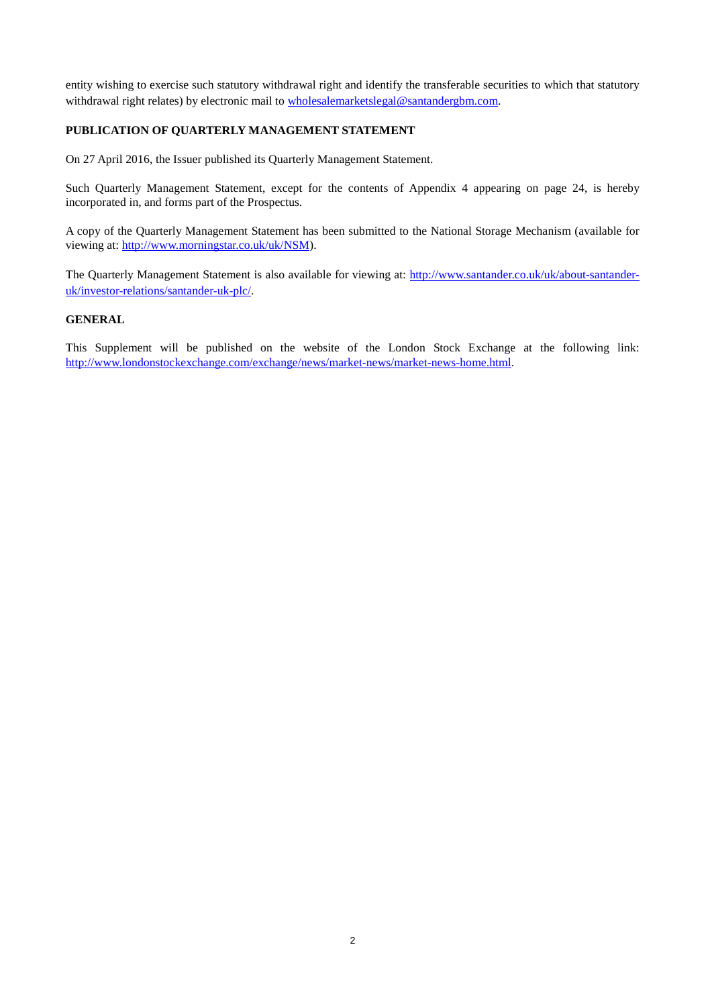entity wishing to exercise such statutory withdrawal right and identify the transferable securities to which that statutory withdrawal right relates) by electronic mail to [wholesalemarketslegal@santandergbm.com.](mailto:wholesalemarketslegal@santandergbm.com)

## **PUBLICATION OF QUARTERLY MANAGEMENT STATEMENT**

On 27 April 2016, the Issuer published its Quarterly Management Statement.

Such Quarterly Management Statement, except for the contents of Appendix 4 appearing on page 24, is hereby incorporated in, and forms part of the Prospectus.

A copy of the Quarterly Management Statement has been submitted to the National Storage Mechanism (available for viewing at: [http://www.morningstar.co.uk/uk/NSM\)](http://www.morningstar.co.uk/uk/NSM).

The Quarterly Management Statement is also available for viewing at: [http://www.santander.co.uk/uk/about-santander](http://www.santander.co.uk/uk/about-santander-uk/investor-relations/santander-uk-plc/)[uk/investor-relations/santander-uk-plc/.](http://www.santander.co.uk/uk/about-santander-uk/investor-relations/santander-uk-plc/)

#### **GENERAL**

This Supplement will be published on the website of the London Stock Exchange at the following link: [http://www.londonstockexchange.com/exchange/news/market-news/market-news-home.html.](http://www.londonstockexchange.com/exchange/news/market-news/market-news-home.html)